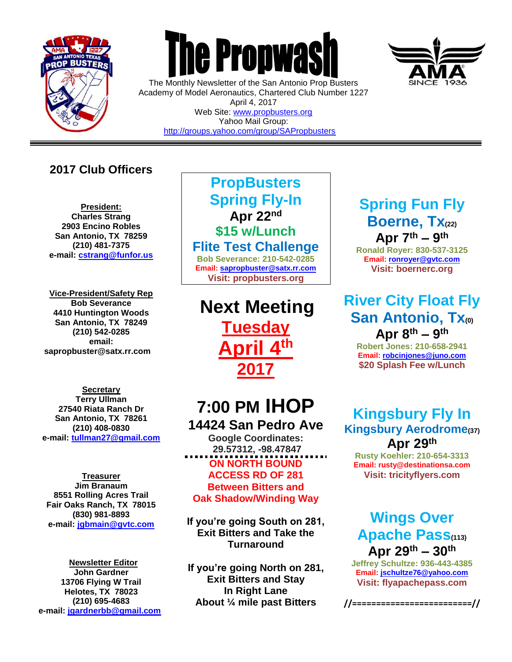

 $\overline{a}$ 



The Monthly Newsletter of the San Antonio Prop Busters Academy of Model Aeronautics, Chartered Club Number 1227 April 4, 2017 Web Site: [www.propbusters.org](http://www.propbusters.org/) Yahoo Mail Group:

<http://groups.yahoo.com/group/SAPropbusters>

### **2017 Club Officers**

**President: Charles Strang 2903 Encino Robles San Antonio, TX 78259 (210) 481-7375 e-mail: [cstrang@funfor.us](mailto:cstrang@funfor.us)**

**Vice-President/Safety Rep Bob Severance 4410 Huntington Woods San Antonio, TX 78249 (210) 542-0285 email: sapropbuster@satx.rr.com**

**Secretary Terry Ullman 27540 Riata Ranch Dr San Antonio, TX 78261 (210) 408-0830 e-mail: [tullman27@gmail.com](mailto:tullman27@gmail.com)**

**Treasurer Jim Branaum 8551 Rolling Acres Trail Fair Oaks Ranch, TX 78015 (830) 981-8893 e-mail: [jgbmain@gvtc.com](mailto:jgbmain@gvtc.com)**

**Newsletter Editor John Gardner 13706 Flying W Trail Helotes, TX 78023 (210) 695-4683 e-mail: [jgardnerbb@gmail.com](mailto:jgardnerbb@gmail.com)**

### **PropBusters Spring Fly-In Apr 22nd \$15 w/Lunch**

**Flite Test Challenge**

**Bob Severance: 210-542-0285 Email: [sapropbuster@satx.rr.com](mailto:sapropbuster@satx.rr.com) Visit: propbusters.org**

**Next Meeting Tuesday April 4 th 2017**

## **7:00 PM IHOP 14424 San Pedro Ave**

**Google Coordinates: 29.57312, -98.47847 ON NORTH BOUND ACCESS RD OF 281 Between Bitters and Oak Shadow/Winding Way**

**If you're going South on 281, Exit Bitters and Take the Turnaround**

**If you're going North on 281, Exit Bitters and Stay In Right Lane About ¼ mile past Bitters**

### **Spring Fun Fly Boerne, Tx(22) Apr 7th – 9 th**

**Ronald Royer: 830-537-3125 Email: [ronroyer@gvtc.com](mailto:ronroyer@gvtc.com) Visit: boernerc.org**

### **River City Float Fly San Antonio, Tx(0) Apr 8th – 9 th**

**Robert Jones: 210-658-2941 Email[: robcinjones@juno.com](mailto:robcinjones@juno.com) \$20 Splash Fee w/Lunch**

**Kingsbury Fly In Kingsbury Aerodrome(37) Apr 29th**

**Rusty Koehler: 210-654-3313 Email: rusty@destinationsa.com Visit: tricityflyers.com**

### **Wings Over Apache Pass(113) Apr 29th – 30th**

**Jeffrey Schultze: 936-443-4385 Email: [jschultze76@yahoo.com](mailto:jschultze76@yahoo.com) Visit: flyapachepass.com**

**//=========================//**

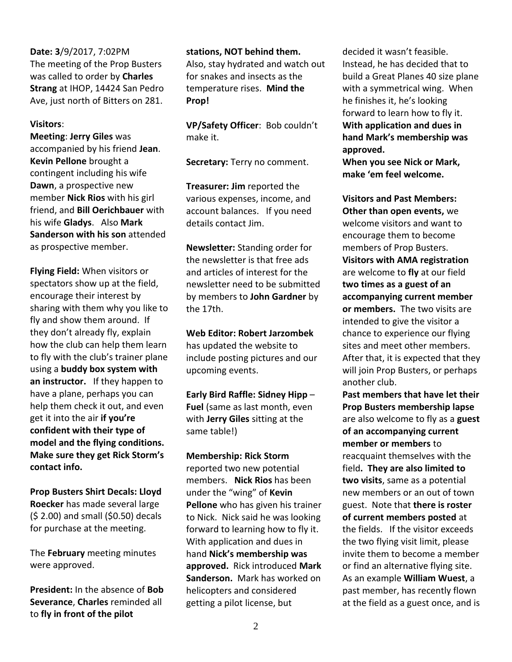#### **Date: 3**/9/2017, 7:02PM The meeting of the Prop Busters was called to order by **Charles Strang** at IHOP, 14424 San Pedro Ave, just north of Bitters on 281.

#### **Visitors**:

**Meeting**: **Jerry Giles** was accompanied by his friend **Jean**. **Kevin Pellone** brought a contingent including his wife **Dawn**, a prospective new member **Nick Rios** with his girl friend, and **Bill Oerichbauer** with his wife **Gladys**. Also **Mark Sanderson with his son** attended as prospective member.

**Flying Field:** When visitors or spectators show up at the field, encourage their interest by sharing with them why you like to fly and show them around. If they don't already fly, explain how the club can help them learn to fly with the club's trainer plane using a **buddy box system with an instructor.** If they happen to have a plane, perhaps you can help them check it out, and even get it into the air **if you're confident with their type of model and the flying conditions. Make sure they get Rick Storm's contact info.** 

**Prop Busters Shirt Decals: Lloyd Roecker** has made several large (\$ 2.00) and small (\$0.50) decals for purchase at the meeting.

The **February** meeting minutes were approved.

**President:** In the absence of **Bob Severance**, **Charles** reminded all to **fly in front of the pilot** 

#### **stations, NOT behind them.**

Also, stay hydrated and watch out for snakes and insects as the temperature rises. **Mind the Prop!**

**VP/Safety Officer**: Bob couldn't make it.

**Secretary:** Terry no comment.

**Treasurer: Jim** reported the various expenses, income, and account balances. If you need details contact Jim.

**Newsletter:** Standing order for the newsletter is that free ads and articles of interest for the newsletter need to be submitted by members to **John Gardner** by the 17th.

**Web Editor: Robert Jarzombek**  has updated the website to include posting pictures and our upcoming events.

**Early Bird Raffle: Sidney Hipp** – **Fuel** (same as last month, even with **Jerry Giles** sitting at the same table!)

**Membership: Rick Storm** reported two new potential members. **Nick Rios** has been under the "wing" of **Kevin Pellone** who has given his trainer to Nick. Nick said he was looking forward to learning how to fly it. With application and dues in hand **Nick's membership was approved.** Rick introduced **Mark Sanderson.** Mark has worked on helicopters and considered getting a pilot license, but

decided it wasn't feasible. Instead, he has decided that to build a Great Planes 40 size plane with a symmetrical wing. When he finishes it, he's looking forward to learn how to fly it. **With application and dues in hand Mark's membership was approved.**

**When you see Nick or Mark, make 'em feel welcome.**

**Visitors and Past Members: Other than open events,** we welcome visitors and want to encourage them to become members of Prop Busters. **Visitors with AMA registration** are welcome to **fly** at our field **two times as a guest of an accompanying current member or members.** The two visits are intended to give the visitor a chance to experience our flying sites and meet other members. After that, it is expected that they will join Prop Busters, or perhaps another club.

**Past members that have let their Prop Busters membership lapse** are also welcome to fly as a **guest of an accompanying current member or members** to reacquaint themselves with the field**. They are also limited to two visits**, same as a potential new members or an out of town guest. Note that **there is roster of current members posted** at the fields. If the visitor exceeds the two flying visit limit, please invite them to become a member or find an alternative flying site. As an example **William Wuest**, a past member, has recently flown at the field as a guest once, and is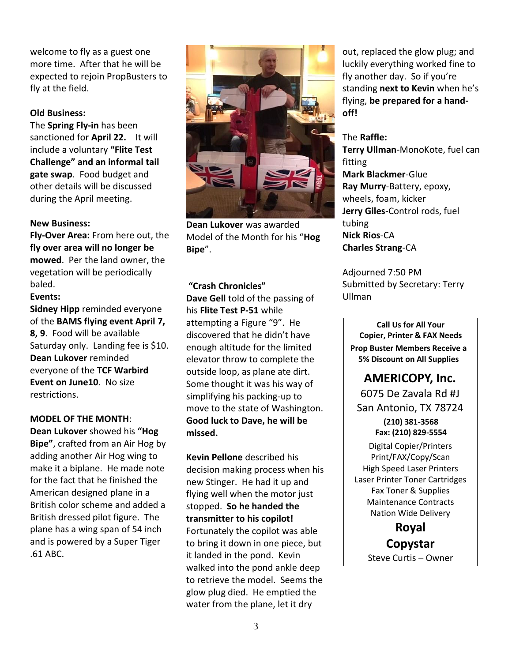welcome to fly as a guest one more time. After that he will be expected to rejoin PropBusters to fly at the field.

#### **Old Business:**

The **Spring Fly-in** has been sanctioned for **April 22.** It will include a voluntary **"Flite Test Challenge" and an informal tail gate swap**. Food budget and other details will be discussed during the April meeting.

#### **New Business:**

**Fly-Over Area:** From here out, the **fly over area will no longer be mowed**. Per the land owner, the vegetation will be periodically baled.

**Events:**

**Sidney Hipp** reminded everyone of the **BAMS flying event April 7, 8, 9**. Food will be available Saturday only. Landing fee is \$10. **Dean Lukover** reminded everyone of the **TCF Warbird Event on June10**. No size restrictions.

#### **MODEL OF THE MONTH**:

**Dean Lukover** showed his **"Hog Bipe"**, crafted from an Air Hog by adding another Air Hog wing to make it a biplane. He made note for the fact that he finished the American designed plane in a British color scheme and added a British dressed pilot figure. The plane has a wing span of 54 inch and is powered by a Super Tiger .61 ABC.



**Dean Lukover** was awarded Model of the Month for his "**Hog Bipe**".

**"Crash Chronicles" Dave Gell** told of the passing of his **Flite Test P-51** while attempting a Figure "9". He discovered that he didn't have enough altitude for the limited elevator throw to complete the outside loop, as plane ate dirt. Some thought it was his way of simplifying his packing-up to

move to the state of Washington. **Good luck to Dave, he will be missed.**

**Kevin Pellone** described his decision making process when his new Stinger. He had it up and flying well when the motor just stopped. **So he handed the transmitter to his copilot!** Fortunately the copilot was able to bring it down in one piece, but it landed in the pond. Kevin walked into the pond ankle deep to retrieve the model. Seems the glow plug died. He emptied the water from the plane, let it dry

out, replaced the glow plug; and luckily everything worked fine to fly another day. So if you're standing **next to Kevin** when he's flying, **be prepared for a handoff!**

The **Raffle: Terry Ullman**-MonoKote, fuel can fitting **Mark Blackmer**-Glue **Ray Murry**-Battery, epoxy, wheels, foam, kicker **Jerry Giles**-Control rods, fuel tubing **Nick Rios**-CA **Charles Strang**-CA

Adjourned 7:50 PM Submitted by Secretary: Terry Ullman

**Call Us for All Your Copier, Printer & FAX Needs Prop Buster Members Receive a 5% Discount on All Supplies**

### **AMERICOPY, Inc.**

6075 De Zavala Rd #J San Antonio, TX 78724

**(210) 381-3568 Fax: (210) 829-5554** Digital Copier/Printers Print/FAX/Copy/Scan High Speed Laser Printers Laser Printer Toner Cartridges Fax Toner & Supplies Maintenance Contracts Nation Wide Delivery

**Royal Copystar** Steve Curtis – Owner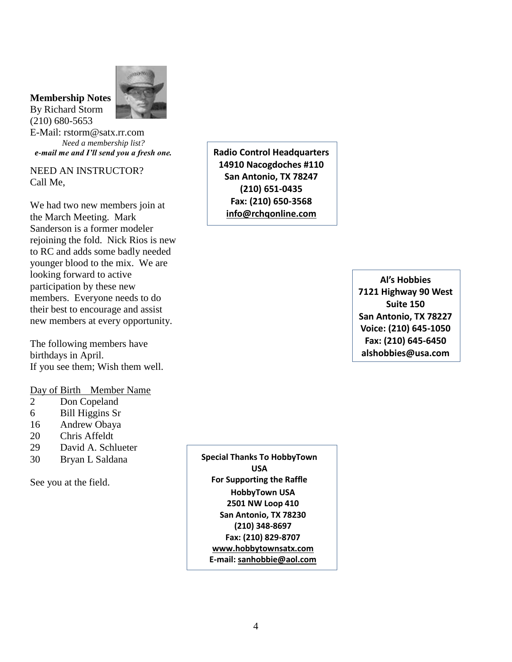#### **Membership Notes** By Richard Storm

(210) 680-5653



E-Mail: rstorm@satx.rr.com *Need a membership list? e-mail me and I'll send you a fresh one.*

NEED AN INSTRUCTOR? Call Me,

We had two new members join at the March Meeting. Mark Sanderson is a former modeler rejoining the fold. Nick Rios is new to RC and adds some badly needed younger blood to the mix. We are looking forward to active participation by these new members. Everyone needs to do their best to encourage and assist new members at every opportunity.

The following members have birthdays in April. If you see them; Wish them well.

#### Day of Birth Member Name

- 2 Don Copeland
- 6 Bill Higgins Sr
- 16 Andrew Obaya
- 20 Chris Affeldt
- 29 David A. Schlueter
- 30 Bryan L Saldana

See you at the field.

**Special Thanks To HobbyTown USA For Supporting the Raffle HobbyTown USA 2501 NW Loop 410 San Antonio, TX 78230 (210) 348-8697 Fax: (210) 829-8707 [www.hobbytownsatx.com](http://www.hobbytownsatx.com/) E-mail[: sanhobbie@aol.com](mailto:sanhobbie@aol.com)**

**Radio Control Headquarters 14910 Nacogdoches #110 San Antonio, TX 78247 (210) 651-0435 Fax: (210) 650-3568 [info@rchqonline.com](mailto:info@rchqonline.com)**

> **Al's Hobbies 7121 Highway 90 West Suite 150 San Antonio, TX 78227 Voice: (210) 645-1050 Fax: (210) 645-6450 alshobbies@usa.com**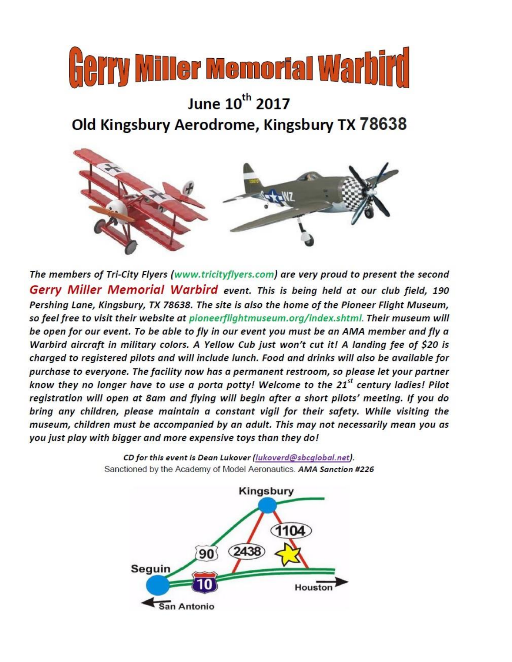

# June 10<sup>th</sup> 2017 Old Kingsbury Aerodrome, Kingsbury TX 78638



The members of Tri-City Flyers (www.tricityflyers.com) are very proud to present the second Gerry Miller Memorial Warbird event. This is being held at our club field, 190 Pershing Lane, Kingsbury, TX 78638. The site is also the home of the Pioneer Flight Museum, so feel free to visit their website at pioneerflightmuseum.org/index.shtml. Their museum will be open for our event. To be able to fly in our event you must be an AMA member and fly a Warbird aircraft in military colors. A Yellow Cub just won't cut it! A landing fee of \$20 is charged to registered pilots and will include lunch. Food and drinks will also be available for purchase to everyone. The facility now has a permanent restroom, so please let your partner know they no longer have to use a porta potty! Welcome to the 21<sup>st</sup> century ladies! Pilot registration will open at 8am and flying will begin after a short pilots' meeting. If you do bring any children, please maintain a constant vigil for their safety. While visiting the museum, children must be accompanied by an adult. This may not necessarily mean you as you just play with bigger and more expensive toys than they do!

> CD for this event is Dean Lukover (lukoverd@sbcglobal.net). Sanctioned by the Academy of Model Aeronautics. AMA Sanction #226